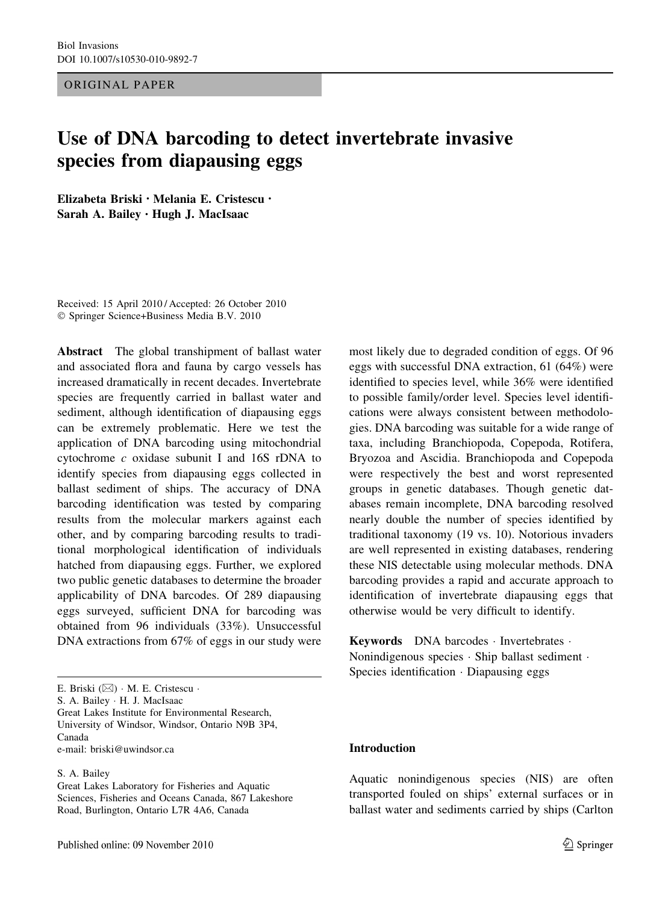ORIGINAL PAPER

# Use of DNA barcoding to detect invertebrate invasive species from diapausing eggs

Elizabeta Briski • Melania E. Cristescu • Sarah A. Bailey • Hugh J. MacIsaac

Received: 15 April 2010 / Accepted: 26 October 2010 © Springer Science+Business Media B.V. 2010

Abstract The global transhipment of ballast water and associated flora and fauna by cargo vessels has increased dramatically in recent decades. Invertebrate species are frequently carried in ballast water and sediment, although identification of diapausing eggs can be extremely problematic. Here we test the application of DNA barcoding using mitochondrial cytochrome c oxidase subunit I and 16S rDNA to identify species from diapausing eggs collected in ballast sediment of ships. The accuracy of DNA barcoding identification was tested by comparing results from the molecular markers against each other, and by comparing barcoding results to traditional morphological identification of individuals hatched from diapausing eggs. Further, we explored two public genetic databases to determine the broader applicability of DNA barcodes. Of 289 diapausing eggs surveyed, sufficient DNA for barcoding was obtained from 96 individuals (33%). Unsuccessful DNA extractions from 67% of eggs in our study were

S. A. Bailey - H. J. MacIsaac

Great Lakes Institute for Environmental Research, University of Windsor, Windsor, Ontario N9B 3P4, Canada e-mail: briski@uwindsor.ca

S. A. Bailey

most likely due to degraded condition of eggs. Of 96 eggs with successful DNA extraction, 61 (64%) were identified to species level, while 36% were identified to possible family/order level. Species level identifications were always consistent between methodologies. DNA barcoding was suitable for a wide range of taxa, including Branchiopoda, Copepoda, Rotifera, Bryozoa and Ascidia. Branchiopoda and Copepoda were respectively the best and worst represented groups in genetic databases. Though genetic databases remain incomplete, DNA barcoding resolved nearly double the number of species identified by traditional taxonomy (19 vs. 10). Notorious invaders are well represented in existing databases, rendering these NIS detectable using molecular methods. DNA barcoding provides a rapid and accurate approach to identification of invertebrate diapausing eggs that otherwise would be very difficult to identify.

Keywords DNA barcodes - Invertebrates - Nonindigenous species - Ship ballast sediment - Species identification - Diapausing eggs

## Introduction

Aquatic nonindigenous species (NIS) are often transported fouled on ships' external surfaces or in ballast water and sediments carried by ships (Carlton

E. Briski (⊠) · M. E. Cristescu ·

Great Lakes Laboratory for Fisheries and Aquatic Sciences, Fisheries and Oceans Canada, 867 Lakeshore Road, Burlington, Ontario L7R 4A6, Canada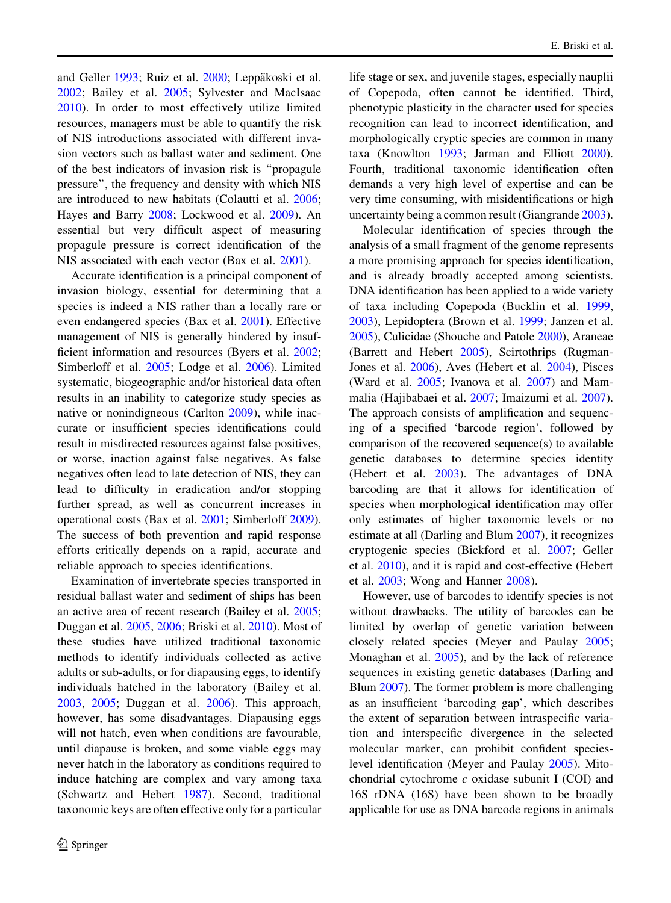and Geller [1993](#page-14-0); Ruiz et al. [2000](#page-15-0); Leppäkoski et al. [2002;](#page-15-0) Bailey et al. [2005;](#page-14-0) Sylvester and MacIsaac [2010\)](#page-15-0). In order to most effectively utilize limited resources, managers must be able to quantify the risk of NIS introductions associated with different invasion vectors such as ballast water and sediment. One of the best indicators of invasion risk is ''propagule pressure'', the frequency and density with which NIS are introduced to new habitats (Colautti et al. [2006](#page-14-0); Hayes and Barry [2008](#page-14-0); Lockwood et al. [2009](#page-15-0)). An essential but very difficult aspect of measuring propagule pressure is correct identification of the NIS associated with each vector (Bax et al. [2001](#page-14-0)).

Accurate identification is a principal component of invasion biology, essential for determining that a species is indeed a NIS rather than a locally rare or even endangered species (Bax et al. [2001](#page-14-0)). Effective management of NIS is generally hindered by insuf-ficient information and resources (Byers et al. [2002](#page-14-0); Simberloff et al. [2005](#page-15-0); Lodge et al. [2006\)](#page-15-0). Limited systematic, biogeographic and/or historical data often results in an inability to categorize study species as native or nonindigneous (Carlton [2009\)](#page-14-0), while inaccurate or insufficient species identifications could result in misdirected resources against false positives, or worse, inaction against false negatives. As false negatives often lead to late detection of NIS, they can lead to difficulty in eradication and/or stopping further spread, as well as concurrent increases in operational costs (Bax et al. [2001;](#page-14-0) Simberloff [2009](#page-15-0)). The success of both prevention and rapid response efforts critically depends on a rapid, accurate and reliable approach to species identifications.

Examination of invertebrate species transported in residual ballast water and sediment of ships has been an active area of recent research (Bailey et al. [2005](#page-14-0); Duggan et al. [2005](#page-14-0), [2006](#page-14-0); Briski et al. [2010](#page-14-0)). Most of these studies have utilized traditional taxonomic methods to identify individuals collected as active adults or sub-adults, or for diapausing eggs, to identify individuals hatched in the laboratory (Bailey et al. [2003,](#page-14-0) [2005;](#page-14-0) Duggan et al. [2006](#page-14-0)). This approach, however, has some disadvantages. Diapausing eggs will not hatch, even when conditions are favourable, until diapause is broken, and some viable eggs may never hatch in the laboratory as conditions required to induce hatching are complex and vary among taxa (Schwartz and Hebert [1987\)](#page-15-0). Second, traditional taxonomic keys are often effective only for a particular

life stage or sex, and juvenile stages, especially nauplii of Copepoda, often cannot be identified. Third, phenotypic plasticity in the character used for species recognition can lead to incorrect identification, and morphologically cryptic species are common in many taxa (Knowlton [1993;](#page-15-0) Jarman and Elliott [2000](#page-15-0)). Fourth, traditional taxonomic identification often demands a very high level of expertise and can be very time consuming, with misidentifications or high uncertainty being a common result (Giangrande [2003](#page-14-0)).

Molecular identification of species through the analysis of a small fragment of the genome represents a more promising approach for species identification, and is already broadly accepted among scientists. DNA identification has been applied to a wide variety of taxa including Copepoda (Bucklin et al. [1999,](#page-14-0) [2003\)](#page-14-0), Lepidoptera (Brown et al. [1999](#page-14-0); Janzen et al. [2005\)](#page-15-0), Culicidae (Shouche and Patole [2000\)](#page-15-0), Araneae (Barrett and Hebert [2005](#page-14-0)), Scirtothrips (Rugman-Jones et al. [2006\)](#page-15-0), Aves (Hebert et al. [2004](#page-15-0)), Pisces (Ward et al. [2005](#page-15-0); Ivanova et al. [2007\)](#page-15-0) and Mammalia (Hajibabaei et al. [2007;](#page-14-0) Imaizumi et al. [2007](#page-15-0)). The approach consists of amplification and sequencing of a specified 'barcode region', followed by comparison of the recovered sequence(s) to available genetic databases to determine species identity (Hebert et al. [2003\)](#page-15-0). The advantages of DNA barcoding are that it allows for identification of species when morphological identification may offer only estimates of higher taxonomic levels or no estimate at all (Darling and Blum [2007](#page-14-0)), it recognizes cryptogenic species (Bickford et al. [2007;](#page-14-0) Geller et al. [2010\)](#page-14-0), and it is rapid and cost-effective (Hebert et al. [2003;](#page-15-0) Wong and Hanner [2008\)](#page-15-0).

However, use of barcodes to identify species is not without drawbacks. The utility of barcodes can be limited by overlap of genetic variation between closely related species (Meyer and Paulay [2005](#page-15-0); Monaghan et al. [2005\)](#page-15-0), and by the lack of reference sequences in existing genetic databases (Darling and Blum [2007\)](#page-14-0). The former problem is more challenging as an insufficient 'barcoding gap', which describes the extent of separation between intraspecific variation and interspecific divergence in the selected molecular marker, can prohibit confident specieslevel identification (Meyer and Paulay [2005\)](#page-15-0). Mitochondrial cytochrome  $c$  oxidase subunit I (COI) and 16S rDNA (16S) have been shown to be broadly applicable for use as DNA barcode regions in animals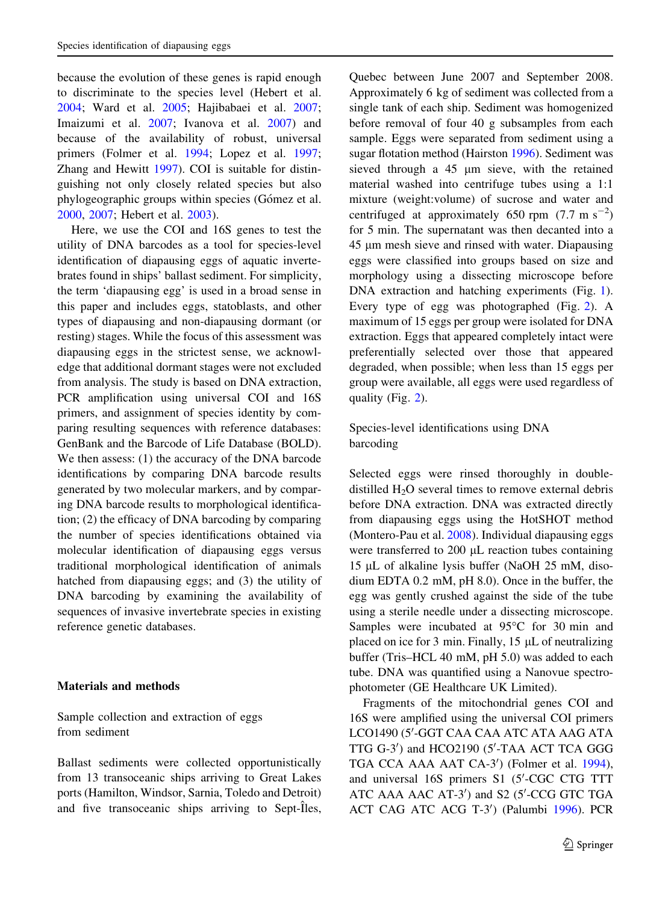because the evolution of these genes is rapid enough to discriminate to the species level (Hebert et al. [2004;](#page-15-0) Ward et al. [2005](#page-15-0); Hajibabaei et al. [2007](#page-14-0); Imaizumi et al. [2007](#page-15-0); Ivanova et al. [2007](#page-15-0)) and because of the availability of robust, universal primers (Folmer et al. [1994;](#page-14-0) Lopez et al. [1997](#page-15-0); Zhang and Hewitt [1997](#page-15-0)). COI is suitable for distinguishing not only closely related species but also phylogeographic groups within species (Gómez et al. [2000,](#page-14-0) [2007;](#page-14-0) Hebert et al. [2003\)](#page-15-0).

Here, we use the COI and 16S genes to test the utility of DNA barcodes as a tool for species-level identification of diapausing eggs of aquatic invertebrates found in ships' ballast sediment. For simplicity, the term 'diapausing egg' is used in a broad sense in this paper and includes eggs, statoblasts, and other types of diapausing and non-diapausing dormant (or resting) stages. While the focus of this assessment was diapausing eggs in the strictest sense, we acknowledge that additional dormant stages were not excluded from analysis. The study is based on DNA extraction, PCR amplification using universal COI and 16S primers, and assignment of species identity by comparing resulting sequences with reference databases: GenBank and the Barcode of Life Database (BOLD). We then assess: (1) the accuracy of the DNA barcode identifications by comparing DNA barcode results generated by two molecular markers, and by comparing DNA barcode results to morphological identification; (2) the efficacy of DNA barcoding by comparing the number of species identifications obtained via molecular identification of diapausing eggs versus traditional morphological identification of animals hatched from diapausing eggs; and (3) the utility of DNA barcoding by examining the availability of sequences of invasive invertebrate species in existing reference genetic databases.

#### Materials and methods

Sample collection and extraction of eggs from sediment

Ballast sediments were collected opportunistically from 13 transoceanic ships arriving to Great Lakes ports (Hamilton, Windsor, Sarnia, Toledo and Detroit) and five transoceanic ships arriving to Sept-Îles, Quebec between June 2007 and September 2008. Approximately 6 kg of sediment was collected from a single tank of each ship. Sediment was homogenized before removal of four 40 g subsamples from each sample. Eggs were separated from sediment using a sugar flotation method (Hairston [1996\)](#page-14-0). Sediment was sieved through a 45 µm sieve, with the retained material washed into centrifuge tubes using a 1:1 mixture (weight:volume) of sucrose and water and centrifuged at approximately 650 rpm  $(7.7 \text{ m s}^{-2})$ for 5 min. The supernatant was then decanted into a 45 lm mesh sieve and rinsed with water. Diapausing eggs were classified into groups based on size and morphology using a dissecting microscope before DNA extraction and hatching experiments (Fig. [1](#page-3-0)). Every type of egg was photographed (Fig. [2](#page-4-0)). A maximum of 15 eggs per group were isolated for DNA extraction. Eggs that appeared completely intact were preferentially selected over those that appeared degraded, when possible; when less than 15 eggs per group were available, all eggs were used regardless of quality (Fig. [2](#page-4-0)).

Species-level identifications using DNA barcoding

Selected eggs were rinsed thoroughly in doubledistilled  $H_2O$  several times to remove external debris before DNA extraction. DNA was extracted directly from diapausing eggs using the HotSHOT method (Montero-Pau et al. [2008\)](#page-15-0). Individual diapausing eggs were transferred to 200 µL reaction tubes containing  $15 \mu L$  of alkaline lysis buffer (NaOH 25 mM, disodium EDTA 0.2 mM, pH 8.0). Once in the buffer, the egg was gently crushed against the side of the tube using a sterile needle under a dissecting microscope. Samples were incubated at 95°C for 30 min and placed on ice for  $3$  min. Finally,  $15 \mu L$  of neutralizing buffer (Tris–HCL 40 mM, pH 5.0) was added to each tube. DNA was quantified using a Nanovue spectrophotometer (GE Healthcare UK Limited).

Fragments of the mitochondrial genes COI and 16S were amplified using the universal COI primers LCO1490 (5'-GGT CAA CAA ATC ATA AAG ATA TTG G-3') and HCO2190 (5'-TAA ACT TCA GGG TGA CCA AAA AAT CA-3') (Folmer et al. [1994](#page-14-0)), and universal 16S primers S1 (5'-CGC CTG TTT ATC AAA AAC AT-3') and S2 (5'-CCG GTC TGA ACT CAG ATC ACG T-3') (Palumbi [1996](#page-15-0)). PCR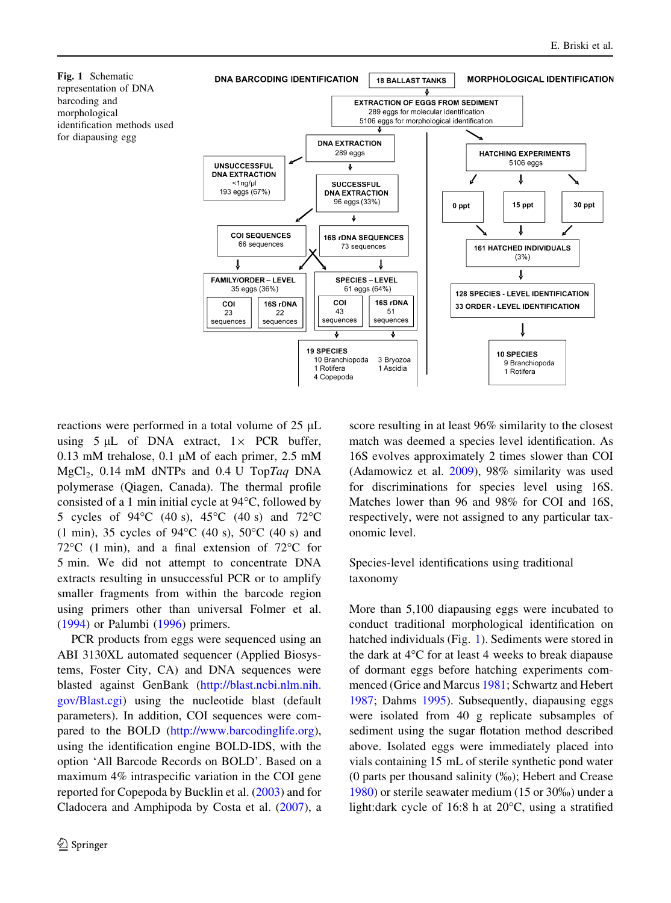<span id="page-3-0"></span>



reactions were performed in a total volume of  $25 \mu L$ using  $5 \mu L$  of DNA extract,  $1 \times$  PCR buffer, 0.13 mM trehalose, 0.1  $\mu$ M of each primer, 2.5 mM  $MgCl<sub>2</sub>$ , 0.14 mM dNTPs and 0.4 U TopTaq DNA polymerase (Qiagen, Canada). The thermal profile consisted of a 1 min initial cycle at  $94^{\circ}$ C, followed by 5 cycles of 94 $^{\circ}$ C (40 s), 45 $^{\circ}$ C (40 s) and 72 $^{\circ}$ C (1 min), 35 cycles of 94 $\rm{°C}$  (40 s), 50 $\rm{°C}$  (40 s) and  $72^{\circ}$ C (1 min), and a final extension of  $72^{\circ}$ C for 5 min. We did not attempt to concentrate DNA extracts resulting in unsuccessful PCR or to amplify smaller fragments from within the barcode region using primers other than universal Folmer et al. [\(1994](#page-14-0)) or Palumbi [\(1996](#page-15-0)) primers.

PCR products from eggs were sequenced using an ABI 3130XL automated sequencer (Applied Biosystems, Foster City, CA) and DNA sequences were blasted against GenBank ([http://blast.ncbi.nlm.nih.](http://blast.ncbi.nlm.nih.gov/Blast.cgi) [gov/Blast.cgi\)](http://blast.ncbi.nlm.nih.gov/Blast.cgi) using the nucleotide blast (default parameters). In addition, COI sequences were compared to the BOLD [\(http://www.barcodinglife.org](http://www.barcodinglife.org)), using the identification engine BOLD-IDS, with the option 'All Barcode Records on BOLD'. Based on a maximum 4% intraspecific variation in the COI gene reported for Copepoda by Bucklin et al. ([2003\)](#page-14-0) and for Cladocera and Amphipoda by Costa et al. [\(2007](#page-14-0)), a score resulting in at least 96% similarity to the closest match was deemed a species level identification. As 16S evolves approximately 2 times slower than COI (Adamowicz et al. [2009\)](#page-14-0), 98% similarity was used for discriminations for species level using 16S. Matches lower than 96 and 98% for COI and 16S, respectively, were not assigned to any particular taxonomic level.

Species-level identifications using traditional taxonomy

More than 5,100 diapausing eggs were incubated to conduct traditional morphological identification on hatched individuals (Fig. 1). Sediments were stored in the dark at  $4^{\circ}$ C for at least 4 weeks to break diapause of dormant eggs before hatching experiments commenced (Grice and Marcus [1981](#page-14-0); Schwartz and Hebert [1987;](#page-15-0) Dahms [1995](#page-14-0)). Subsequently, diapausing eggs were isolated from 40 g replicate subsamples of sediment using the sugar flotation method described above. Isolated eggs were immediately placed into vials containing 15 mL of sterile synthetic pond water (0 parts per thousand salinity  $(\%_0)$ ; Hebert and Crease [1980\)](#page-14-0) or sterile seawater medium (15 or 30%) under a light:dark cycle of 16:8 h at  $20^{\circ}$ C, using a stratified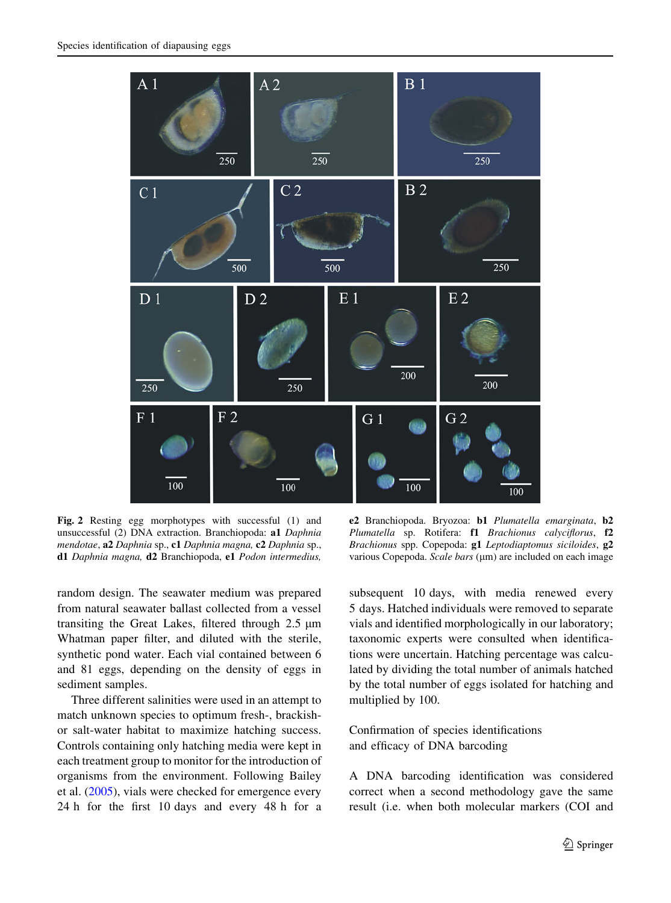<span id="page-4-0"></span>

Fig. 2 Resting egg morphotypes with successful (1) and unsuccessful (2) DNA extraction. Branchiopoda: a1 Daphnia mendotae, a2 Daphnia sp., c1 Daphnia magna, c2 Daphnia sp., d1 Daphnia magna, d2 Branchiopoda, e1 Podon intermedius,

random design. The seawater medium was prepared from natural seawater ballast collected from a vessel transiting the Great Lakes, filtered through  $2.5 \mu m$ Whatman paper filter, and diluted with the sterile, synthetic pond water. Each vial contained between 6 and 81 eggs, depending on the density of eggs in sediment samples.

Three different salinities were used in an attempt to match unknown species to optimum fresh-, brackishor salt-water habitat to maximize hatching success. Controls containing only hatching media were kept in each treatment group to monitor for the introduction of organisms from the environment. Following Bailey et al. [\(2005](#page-14-0)), vials were checked for emergence every 24 h for the first 10 days and every 48 h for a

e2 Branchiopoda. Bryozoa: b1 Plumatella emarginata, b2 Plumatella sp. Rotifera: f1 Brachionus calyciflorus, f2 Brachionus spp. Copepoda: g1 Leptodiaptomus siciloides, g2 various Copepoda. Scale bars (µm) are included on each image

subsequent 10 days, with media renewed every 5 days. Hatched individuals were removed to separate vials and identified morphologically in our laboratory; taxonomic experts were consulted when identifications were uncertain. Hatching percentage was calculated by dividing the total number of animals hatched by the total number of eggs isolated for hatching and multiplied by 100.

Confirmation of species identifications and efficacy of DNA barcoding

A DNA barcoding identification was considered correct when a second methodology gave the same result (i.e. when both molecular markers (COI and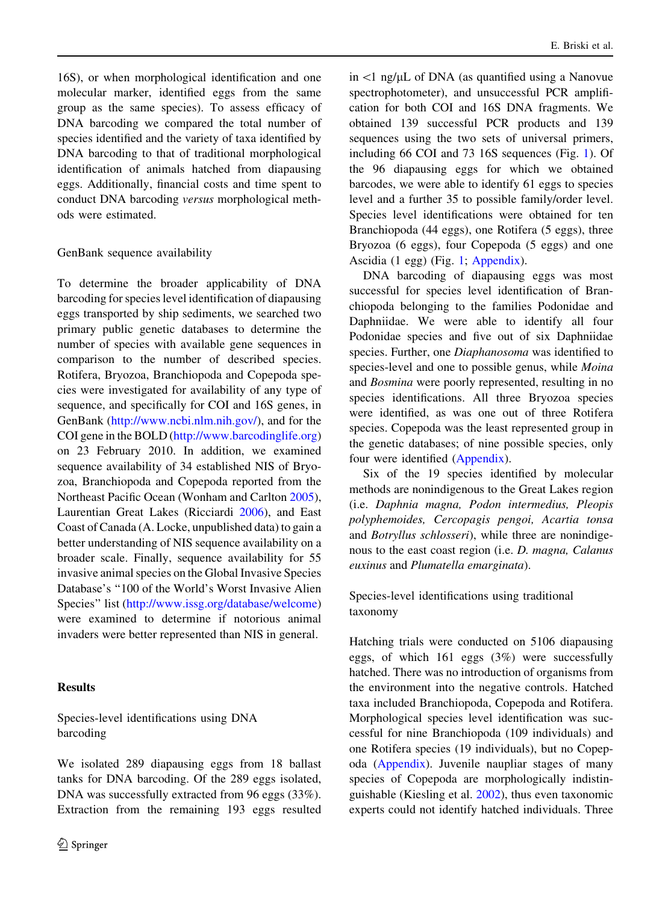16S), or when morphological identification and one molecular marker, identified eggs from the same group as the same species). To assess efficacy of DNA barcoding we compared the total number of species identified and the variety of taxa identified by DNA barcoding to that of traditional morphological identification of animals hatched from diapausing eggs. Additionally, financial costs and time spent to conduct DNA barcoding versus morphological methods were estimated.

## GenBank sequence availability

To determine the broader applicability of DNA barcoding for species level identification of diapausing eggs transported by ship sediments, we searched two primary public genetic databases to determine the number of species with available gene sequences in comparison to the number of described species. Rotifera, Bryozoa, Branchiopoda and Copepoda species were investigated for availability of any type of sequence, and specifically for COI and 16S genes, in GenBank ([http://www.ncbi.nlm.nih.gov/\)](http://www.ncbi.nlm.nih.gov/), and for the COI gene in the BOLD ([http://www.barcodinglife.org\)](http://www.barcodinglife.org) on 23 February 2010. In addition, we examined sequence availability of 34 established NIS of Bryozoa, Branchiopoda and Copepoda reported from the Northeast Pacific Ocean (Wonham and Carlton [2005](#page-15-0)), Laurentian Great Lakes (Ricciardi [2006](#page-15-0)), and East Coast of Canada (A. Locke, unpublished data) to gain a better understanding of NIS sequence availability on a broader scale. Finally, sequence availability for 55 invasive animal species on the Global Invasive Species Database's ''100 of the World's Worst Invasive Alien Species'' list [\(http://www.issg.org/database/welcome\)](http://www.issg.org/database/welcome) were examined to determine if notorious animal invaders were better represented than NIS in general.

### **Results**

Species-level identifications using DNA barcoding

We isolated 289 diapausing eggs from 18 ballast tanks for DNA barcoding. Of the 289 eggs isolated, DNA was successfully extracted from 96 eggs (33%). Extraction from the remaining 193 eggs resulted in  $\langle 1 \rangle$  ng/ $\mu$ L of DNA (as quantified using a Nanovue spectrophotometer), and unsuccessful PCR amplification for both COI and 16S DNA fragments. We obtained 139 successful PCR products and 139 sequences using the two sets of universal primers, including 66 COI and 73 16S sequences (Fig. [1\)](#page-3-0). Of the 96 diapausing eggs for which we obtained barcodes, we were able to identify 61 eggs to species level and a further 35 to possible family/order level. Species level identifications were obtained for ten Branchiopoda (44 eggs), one Rotifera (5 eggs), three Bryozoa (6 eggs), four Copepoda (5 eggs) and one Ascidia (1 egg) (Fig. [1;](#page-3-0) [Appendix](#page-9-0)).

DNA barcoding of diapausing eggs was most successful for species level identification of Branchiopoda belonging to the families Podonidae and Daphniidae. We were able to identify all four Podonidae species and five out of six Daphniidae species. Further, one Diaphanosoma was identified to species-level and one to possible genus, while Moina and Bosmina were poorly represented, resulting in no species identifications. All three Bryozoa species were identified, as was one out of three Rotifera species. Copepoda was the least represented group in the genetic databases; of nine possible species, only four were identified [\(Appendix\)](#page-9-0).

Six of the 19 species identified by molecular methods are nonindigenous to the Great Lakes region (i.e. Daphnia magna, Podon intermedius, Pleopis polyphemoides, Cercopagis pengoi, Acartia tonsa and Botryllus schlosseri), while three are nonindigenous to the east coast region (i.e. D. magna, Calanus euxinus and Plumatella emarginata).

## Species-level identifications using traditional taxonomy

Hatching trials were conducted on 5106 diapausing eggs, of which 161 eggs (3%) were successfully hatched. There was no introduction of organisms from the environment into the negative controls. Hatched taxa included Branchiopoda, Copepoda and Rotifera. Morphological species level identification was successful for nine Branchiopoda (109 individuals) and one Rotifera species (19 individuals), but no Copepoda ([Appendix](#page-9-0)). Juvenile naupliar stages of many species of Copepoda are morphologically indistinguishable (Kiesling et al. [2002](#page-15-0)), thus even taxonomic experts could not identify hatched individuals. Three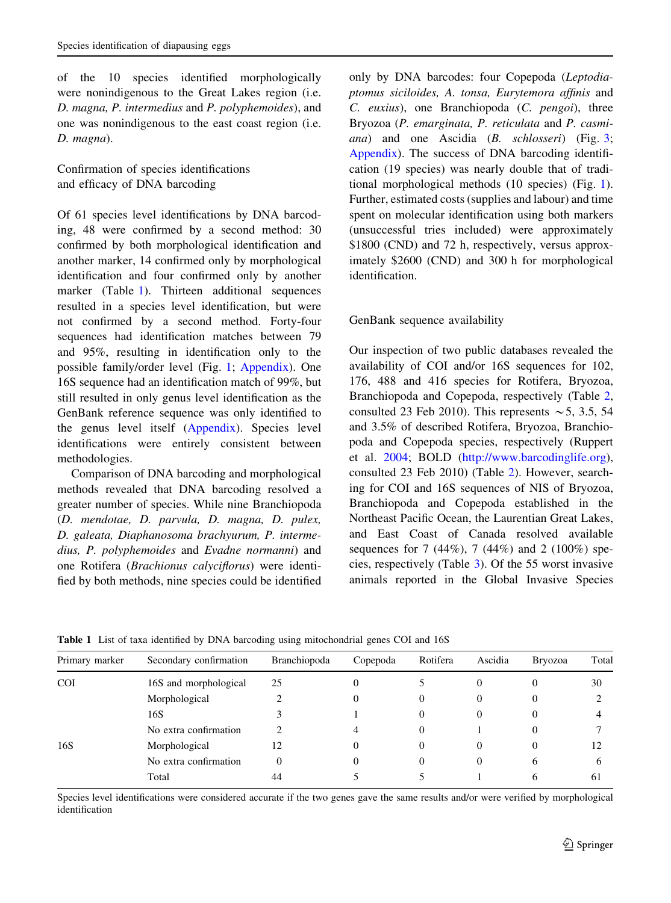of the 10 species identified morphologically were nonindigenous to the Great Lakes region (i.e. D. magna, P. intermedius and P. polyphemoides), and one was nonindigenous to the east coast region (i.e. D. magna).

Confirmation of species identifications and efficacy of DNA barcoding

Of 61 species level identifications by DNA barcoding, 48 were confirmed by a second method: 30 confirmed by both morphological identification and another marker, 14 confirmed only by morphological identification and four confirmed only by another marker (Table 1). Thirteen additional sequences resulted in a species level identification, but were not confirmed by a second method. Forty-four sequences had identification matches between 79 and 95%, resulting in identification only to the possible family/order level (Fig. [1](#page-3-0); [Appendix\)](#page-9-0). One 16S sequence had an identification match of 99%, but still resulted in only genus level identification as the GenBank reference sequence was only identified to the genus level itself ([Appendix](#page-9-0)). Species level identifications were entirely consistent between methodologies.

Comparison of DNA barcoding and morphological methods revealed that DNA barcoding resolved a greater number of species. While nine Branchiopoda (D. mendotae, D. parvula, D. magna, D. pulex, D. galeata, Diaphanosoma brachyurum, P. intermedius, P. polyphemoides and Evadne normanni) and one Rotifera (Brachionus calyciflorus) were identified by both methods, nine species could be identified only by DNA barcodes: four Copepoda (Leptodiaptomus siciloides, A. tonsa, Eurytemora affinis and C. euxius), one Branchiopoda (C. pengoi), three Bryozoa (P. emarginata, P. reticulata and P. casmiana) and one Ascidia (B. schlosseri) (Fig. [3](#page-7-0); [Appendix](#page-9-0)). The success of DNA barcoding identification (19 species) was nearly double that of traditional morphological methods (10 species) (Fig. [1](#page-3-0)). Further, estimated costs (supplies and labour) and time spent on molecular identification using both markers (unsuccessful tries included) were approximately \$1800 (CND) and 72 h, respectively, versus approximately \$2600 (CND) and 300 h for morphological identification.

## GenBank sequence availability

Our inspection of two public databases revealed the availability of COI and/or 16S sequences for 102, 176, 488 and 416 species for Rotifera, Bryozoa, Branchiopoda and Copepoda, respectively (Table [2,](#page-7-0) consulted 23 Feb 2010). This represents  $\sim$  5, 3.5, 54 and 3.5% of described Rotifera, Bryozoa, Branchiopoda and Copepoda species, respectively (Ruppert et al. [2004;](#page-15-0) BOLD [\(http://www.barcodinglife.org](http://www.barcodinglife.org)), consulted 23 Feb 2010) (Table [2\)](#page-7-0). However, searching for COI and 16S sequences of NIS of Bryozoa, Branchiopoda and Copepoda established in the Northeast Pacific Ocean, the Laurentian Great Lakes, and East Coast of Canada resolved available sequences for 7 (44%), 7 (44%) and 2 (100%) species, respectively (Table [3\)](#page-8-0). Of the 55 worst invasive animals reported in the Global Invasive Species

| Primary marker | Secondary confirmation | <b>Branchiopoda</b> | Copepoda | Rotifera | Ascidia | <b>Bryozoa</b> | Total |
|----------------|------------------------|---------------------|----------|----------|---------|----------------|-------|
| COI            | 16S and morphological  | 25                  |          |          |         | O              | 30    |
|                | Morphological          |                     |          |          |         |                |       |
|                | 16S                    |                     |          |          |         | 0              |       |
|                | No extra confirmation  |                     |          |          |         | $_{0}$         |       |
| 16S            | Morphological          | 12                  |          |          |         | $_{0}$         |       |
|                | No extra confirmation  |                     |          |          |         | o              |       |
|                | Total                  | 44                  |          |          |         |                | 61    |

Table 1 List of taxa identified by DNA barcoding using mitochondrial genes COI and 16S

Species level identifications were considered accurate if the two genes gave the same results and/or were verified by morphological identification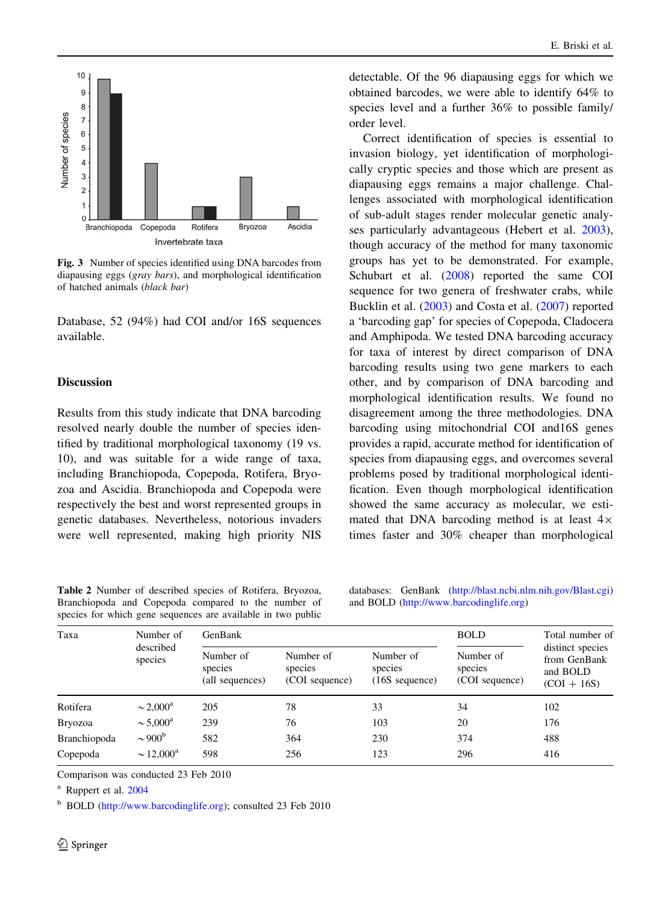<span id="page-7-0"></span>

Fig. 3 Number of species identified using DNA barcodes from diapausing eggs (gray bars), and morphological identification of hatched animals (black bar)

Database, 52 (94%) had COI and/or 16S sequences available.

## **Discussion**

Results from this study indicate that DNA barcoding resolved nearly double the number of species identified by traditional morphological taxonomy (19 vs. 10), and was suitable for a wide range of taxa, including Branchiopoda, Copepoda, Rotifera, Bryozoa and Ascidia. Branchiopoda and Copepoda were respectively the best and worst represented groups in genetic databases. Nevertheless, notorious invaders were well represented, making high priority NIS

Table 2 Number of described species of Rotifera, Bryozoa, Branchiopoda and Copepoda compared to the number of species for which gene sequences are available in two public

detectable. Of the 96 diapausing eggs for which we obtained barcodes, we were able to identify 64% to species level and a further 36% to possible family/ order level.

Correct identification of species is essential to invasion biology, yet identification of morphologically cryptic species and those which are present as diapausing eggs remains a major challenge. Challenges associated with morphological identification of sub-adult stages render molecular genetic analyses particularly advantageous (Hebert et al. [2003](#page-15-0)), though accuracy of the method for many taxonomic groups has yet to be demonstrated. For example, Schubart et al. [\(2008](#page-15-0)) reported the same COI sequence for two genera of freshwater crabs, while Bucklin et al. ([2003\)](#page-14-0) and Costa et al. ([2007\)](#page-14-0) reported a 'barcoding gap' for species of Copepoda, Cladocera and Amphipoda. We tested DNA barcoding accuracy for taxa of interest by direct comparison of DNA barcoding results using two gene markers to each other, and by comparison of DNA barcoding and morphological identification results. We found no disagreement among the three methodologies. DNA barcoding using mitochondrial COI and16S genes provides a rapid, accurate method for identification of species from diapausing eggs, and overcomes several problems posed by traditional morphological identification. Even though morphological identification showed the same accuracy as molecular, we estimated that DNA barcoding method is at least  $4\times$ times faster and 30% cheaper than morphological

databases: GenBank (<http://blast.ncbi.nlm.nih.gov/Blast.cgi>) and BOLD (<http://www.barcodinglife.org>)

| Taxa                | Number of                  | GenBank                                 |                                        |                                                  | <b>BOLD</b>                            | Total number of                                               |
|---------------------|----------------------------|-----------------------------------------|----------------------------------------|--------------------------------------------------|----------------------------------------|---------------------------------------------------------------|
|                     | described<br>species       | Number of<br>species<br>(all sequences) | Number of<br>species<br>(COI sequence) | Number of<br>species<br>$(16S \text{ sequence})$ | Number of<br>species<br>(COI sequence) | distinct species<br>from GenBank<br>and BOLD<br>$(COI + 16S)$ |
| Rotifera            | $\sim$ 2.000 <sup>a</sup>  | 205                                     | 78                                     | 33                                               | 34                                     | 102                                                           |
| <b>Bryozoa</b>      | $\sim$ 5,000 <sup>a</sup>  | 239                                     | 76                                     | 103                                              | 20                                     | 176                                                           |
| <b>Branchiopoda</b> | $\sim$ 900 <sup>b</sup>    | 582                                     | 364                                    | 230                                              | 374                                    | 488                                                           |
| Copepoda            | $\sim$ 12.000 <sup>a</sup> | 598                                     | 256                                    | 123                                              | 296                                    | 416                                                           |
|                     |                            |                                         |                                        |                                                  |                                        |                                                               |

Comparison was conducted 23 Feb 2010

Ruppert et al. [2004](#page-15-0)

<sup>b</sup> BOLD (<http://www.barcodinglife.org>); consulted 23 Feb 2010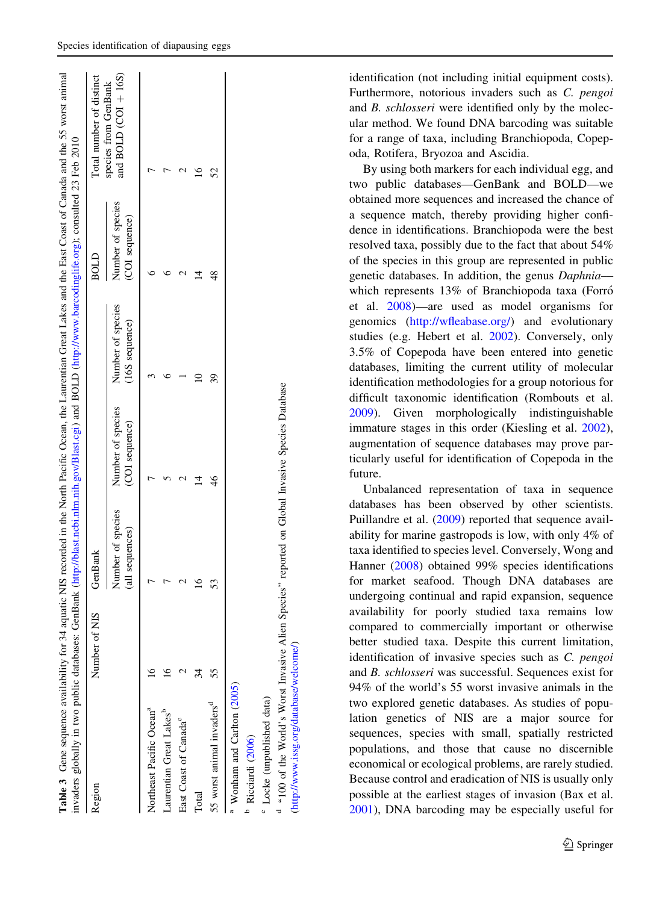<span id="page-8-0"></span>

| Species identification of diapausing eggs |  |  |  |
|-------------------------------------------|--|--|--|
|-------------------------------------------|--|--|--|

| aquatic NIS recorded in the North Pacific Ocean, the Laurentian Great Lakes and the East Coast of Canada and the 55 worst animal | .<br>.<br>.<br>. |
|----------------------------------------------------------------------------------------------------------------------------------|------------------|
|                                                                                                                                  |                  |
| ה המד                                                                                                                            |                  |
| $\sim$ 100 del 20 he $\sim$                                                                                                      |                  |
|                                                                                                                                  |                  |
| r concu                                                                                                                          |                  |
|                                                                                                                                  |                  |
| $\frac{1}{2}$                                                                                                                    | <br> <br> <br>   |
|                                                                                                                                  |                  |
|                                                                                                                                  |                  |
|                                                                                                                                  |                  |
|                                                                                                                                  |                  |
|                                                                                                                                  |                  |
|                                                                                                                                  |                  |
| GenBank (http://blast.ncbi.nlm.nih.gov/Blast.cgi) and BOLD (http://                                                              |                  |
|                                                                                                                                  |                  |
|                                                                                                                                  |                  |
|                                                                                                                                  |                  |
|                                                                                                                                  |                  |
|                                                                                                                                  |                  |
|                                                                                                                                  |                  |
|                                                                                                                                  | - 1<br>1         |
|                                                                                                                                  |                  |
|                                                                                                                                  |                  |
|                                                                                                                                  |                  |
|                                                                                                                                  |                  |
| $\frac{1}{2}$                                                                                                                    |                  |
|                                                                                                                                  |                  |
|                                                                                                                                  |                  |
|                                                                                                                                  |                  |
|                                                                                                                                  | l                |

| invaders globally in two public databases: GenBank (http://blast.ncbi.nlm.nih.gov/Blast.cgi) and BOLD (http://www.barcodinglife.org); consulted 23 Feb 2010 | Number of NIS | GenBank                              |                                     |                                     | <b>BOLD</b>                         |                                                |
|-------------------------------------------------------------------------------------------------------------------------------------------------------------|---------------|--------------------------------------|-------------------------------------|-------------------------------------|-------------------------------------|------------------------------------------------|
| Region                                                                                                                                                      |               |                                      |                                     |                                     |                                     | Total number of distinct                       |
|                                                                                                                                                             |               | Number of species<br>(all sequences) | Number of species<br>(COI sequence) | Number of species<br>(16S sequence) | Number of species<br>(COI sequence) | and BOLD $(COI + 16S)$<br>species from GenBank |
| Northeast Pacific Ocean <sup>a</sup>                                                                                                                        |               |                                      |                                     |                                     |                                     |                                                |
| Laurentian Great Lakes <sup>b</sup>                                                                                                                         |               |                                      |                                     |                                     |                                     |                                                |
| East Coast of Canada <sup>c</sup>                                                                                                                           |               |                                      |                                     |                                     |                                     |                                                |
| Total                                                                                                                                                       | 34            |                                      |                                     |                                     |                                     |                                                |
| 55 worst animal invaders <sup>d</sup>                                                                                                                       |               |                                      |                                     |                                     |                                     |                                                |
| Womham and Carlton (2005)                                                                                                                                   |               |                                      |                                     |                                     |                                     |                                                |
| <sup>b</sup> Ricciardi (2006)                                                                                                                               |               |                                      |                                     |                                     |                                     |                                                |

<sup>d</sup> "100 of the World's Worst Invasive Alien Species" reported on Global Invasive Species Database ''100 of the World's Worst Invasive Alien Species'' reported on Global Invasive Species Database (http://www.issg.org/database/welcome/) ([http://www.issg.org/database/welcome/\)](http://www.issg.org/database/welcome/) <sup>2</sup> Locke (unpublished data) Locke (unpublished data)

identification (not including initial equipment costs). Furthermore, notorious invaders such as C. pengoi and B. schlosseri were identified only by the molecular method. We found DNA barcoding was suitable for a range of taxa, including Branchiopoda, Copepoda, Rotifera, Bryozoa and Ascidia.

By using both markers for each individual egg, and two public databases––GenBank and BOLD––we obtained more sequences and increased the chance of a sequence match, thereby providing higher confidence in identifications. Branchiopoda were the best resolved taxa, possibly due to the fact that about 54% of the species in this group are represented in public genetic databases. In addition, the genus Daphnia–– which represents 13% of Branchiopoda taxa (Forró et al. [2008\)](#page-14-0)––are used as model organisms for genomics [\(http://wfleabase.org/](http://wfleabase.org/)) and evolutionary studies (e.g. Hebert et al. [2002\)](#page-14-0). Conversely, only 3.5% of Copepoda have been entered into genetic databases, limiting the current utility of molecular identification methodologies for a group notorious for difficult taxonomic identification (Rombouts et al. [2009\)](#page-15-0). Given morphologically indistinguishable immature stages in this order (Kiesling et al. [2002](#page-15-0)), augmentation of sequence databases may prove particularly useful for identification of Copepoda in the future.

Unbalanced representation of taxa in sequence databases has been observed by other scientists. Puillandre et al. [\(2009](#page-15-0)) reported that sequence availability for marine gastropods is low, with only 4% of taxa identified to species level. Conversely, Wong and Hanner ([2008\)](#page-15-0) obtained 99% species identifications for market seafood. Though DNA databases are undergoing continual and rapid expansion, sequence availability for poorly studied taxa remains low compared to commercially important or otherwise better studied taxa. Despite this current limitation, identification of invasive species such as C. pengoi and B. schlosseri was successful. Sequences exist for 94% of the world's 55 worst invasive animals in the two explored genetic databases. As studies of population genetics of NIS are a major source for sequences, species with small, spatially restricted populations, and those that cause no discernible economical or ecological problems, are rarely studied. Because control and eradication of NIS is usually only possible at the earliest stages of invasion (Bax et al. [2001\)](#page-14-0), DNA barcoding may be especially useful for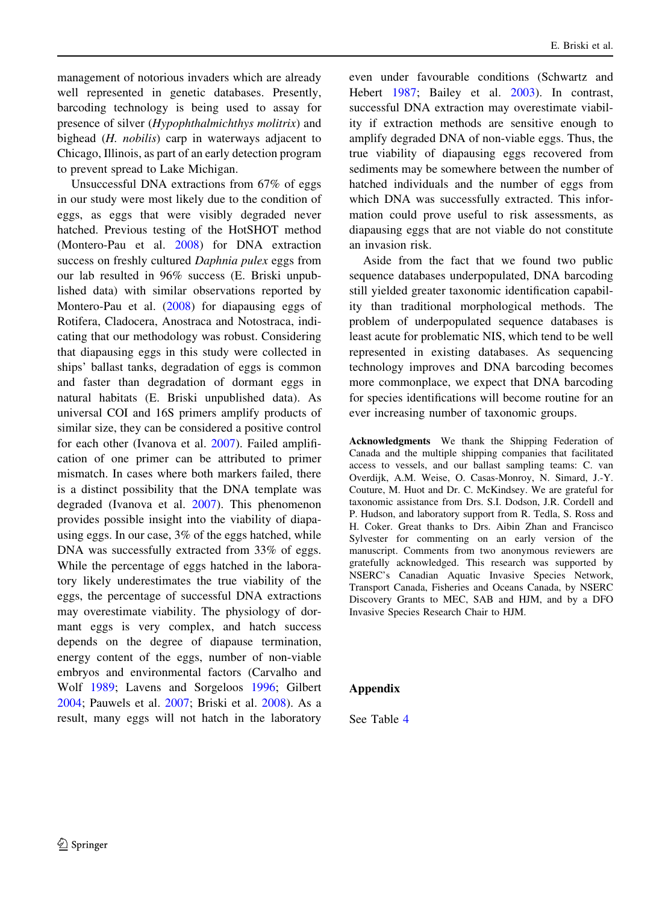E. Briski et al.

<span id="page-9-0"></span>management of notorious invaders which are already well represented in genetic databases. Presently, barcoding technology is being used to assay for presence of silver (Hypophthalmichthys molitrix) and bighead (*H. nobilis*) carp in waterways adjacent to Chicago, Illinois, as part of an early detection program to prevent spread to Lake Michigan.

Unsuccessful DNA extractions from 67% of eggs in our study were most likely due to the condition of eggs, as eggs that were visibly degraded never hatched. Previous testing of the HotSHOT method (Montero-Pau et al. [2008\)](#page-15-0) for DNA extraction success on freshly cultured Daphnia pulex eggs from our lab resulted in 96% success (E. Briski unpublished data) with similar observations reported by Montero-Pau et al. ([2008\)](#page-15-0) for diapausing eggs of Rotifera, Cladocera, Anostraca and Notostraca, indicating that our methodology was robust. Considering that diapausing eggs in this study were collected in ships' ballast tanks, degradation of eggs is common and faster than degradation of dormant eggs in natural habitats (E. Briski unpublished data). As universal COI and 16S primers amplify products of similar size, they can be considered a positive control for each other (Ivanova et al. [2007](#page-15-0)). Failed amplification of one primer can be attributed to primer mismatch. In cases where both markers failed, there is a distinct possibility that the DNA template was degraded (Ivanova et al. [2007\)](#page-15-0). This phenomenon provides possible insight into the viability of diapausing eggs. In our case, 3% of the eggs hatched, while DNA was successfully extracted from 33% of eggs. While the percentage of eggs hatched in the laboratory likely underestimates the true viability of the eggs, the percentage of successful DNA extractions may overestimate viability. The physiology of dormant eggs is very complex, and hatch success depends on the degree of diapause termination, energy content of the eggs, number of non-viable embryos and environmental factors (Carvalho and Wolf [1989;](#page-14-0) Lavens and Sorgeloos [1996;](#page-15-0) Gilbert [2004;](#page-14-0) Pauwels et al. [2007;](#page-15-0) Briski et al. [2008\)](#page-14-0). As a result, many eggs will not hatch in the laboratory even under favourable conditions (Schwartz and Hebert [1987;](#page-15-0) Bailey et al. [2003\)](#page-14-0). In contrast, successful DNA extraction may overestimate viability if extraction methods are sensitive enough to amplify degraded DNA of non-viable eggs. Thus, the true viability of diapausing eggs recovered from sediments may be somewhere between the number of hatched individuals and the number of eggs from which DNA was successfully extracted. This information could prove useful to risk assessments, as diapausing eggs that are not viable do not constitute an invasion risk.

Aside from the fact that we found two public sequence databases underpopulated, DNA barcoding still yielded greater taxonomic identification capability than traditional morphological methods. The problem of underpopulated sequence databases is least acute for problematic NIS, which tend to be well represented in existing databases. As sequencing technology improves and DNA barcoding becomes more commonplace, we expect that DNA barcoding for species identifications will become routine for an ever increasing number of taxonomic groups.

Acknowledgments We thank the Shipping Federation of Canada and the multiple shipping companies that facilitated access to vessels, and our ballast sampling teams: C. van Overdijk, A.M. Weise, O. Casas-Monroy, N. Simard, J.-Y. Couture, M. Huot and Dr. C. McKindsey. We are grateful for taxonomic assistance from Drs. S.I. Dodson, J.R. Cordell and P. Hudson, and laboratory support from R. Tedla, S. Ross and H. Coker. Great thanks to Drs. Aibin Zhan and Francisco Sylvester for commenting on an early version of the manuscript. Comments from two anonymous reviewers are gratefully acknowledged. This research was supported by NSERC's Canadian Aquatic Invasive Species Network, Transport Canada, Fisheries and Oceans Canada, by NSERC Discovery Grants to MEC, SAB and HJM, and by a DFO Invasive Species Research Chair to HJM.

### Appendix

See Table [4](#page-10-0)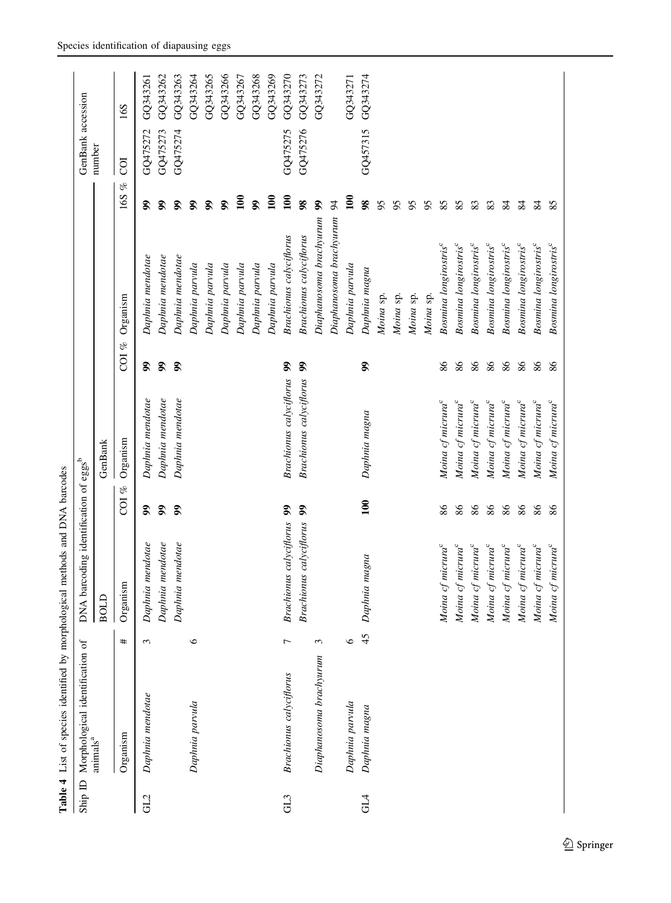<span id="page-10-0"></span>

|           | Table 4 List of species identified by morphological methods and DNA barcodes |         |                                                   |                   |                                |                   |                                   |                   |                   |          |
|-----------|------------------------------------------------------------------------------|---------|---------------------------------------------------|-------------------|--------------------------------|-------------------|-----------------------------------|-------------------|-------------------|----------|
| Ship $ID$ | Morphological identification of                                              |         | DNA barcoding identification of eggs <sup>b</sup> |                   |                                |                   |                                   |                   | GenBank accession |          |
|           | $\text{animals}^{\text{a}}$                                                  |         | <b>BOLD</b>                                       |                   | GenBank                        |                   |                                   |                   | number            |          |
|           | Organism                                                                     | #       | rganism<br>l ō                                    | COI %             | Organism                       | COI %             | Organism                          | $168~\%$          | g                 | 16S      |
| GL2       | Daphnia mendotae                                                             | 3       | Daphnia mendotae                                  | $\mathbf{5}$      | Daphnia mendotae               | $\mathbf{6}$      | Daphnia mendotae                  | $\mathbf{S}$      | GQ475272          | GQ343261 |
|           |                                                                              |         | Daphnia mendotae                                  | $\mathbf{9}$      | Daphnia mendotae               | $\mathbf{9}$      | Daphnia mendotae                  | $\mathbf{S}$      | GQ475273          | GQ343262 |
|           |                                                                              |         | Daphnia mendotae                                  | 99                | Daphnia mendotae               | 99                | Daphnia mendotae                  | $\mathbf{a}$      | GQ475274          | GQ343263 |
|           | Daphnia parvula                                                              | $\circ$ |                                                   |                   |                                |                   | Daphnia parvula                   | $\mathbf{a}$      |                   | GQ343264 |
|           |                                                                              |         |                                                   |                   |                                |                   | Daphnia parvula                   | $\mathbf{S}$      |                   | GQ343265 |
|           |                                                                              |         |                                                   |                   |                                |                   | Daphnia parvula                   | $\delta$          |                   | GQ343266 |
|           |                                                                              |         |                                                   |                   |                                |                   | Daphnia parvula                   | $\mathbf{5}$      |                   | GQ343267 |
|           |                                                                              |         |                                                   |                   |                                |                   | Daphnia parvula                   | $\mathbf{g}$      |                   | GQ343268 |
|           |                                                                              |         |                                                   |                   |                                |                   | Daphnia parvula                   | $\frac{8}{100}$   |                   | GQ343269 |
| GL3       | Brachionus calyciflorus                                                      | Γ       | rachionus calyciflorus 99<br>Ñ                    |                   | Brachionus calyciflorus 99     |                   | Brachionus calyciflorus           | $\overline{100}$  | GQ475275          | GQ343270 |
|           |                                                                              |         | Brachionus calyciflorus                           | $\boldsymbol{90}$ | <b>Brachionus</b> calyciflorus | $\boldsymbol{90}$ | <b>Brachionus</b> calyciflorus    | 98                | GQ475276          | GQ343273 |
|           | Diaphanosoma brachyurum                                                      | 3       |                                                   |                   |                                |                   | Diaphanosoma brachyurum           | $\mathbf{g}$      |                   | GQ343272 |
|           |                                                                              |         |                                                   |                   |                                |                   | Diaphanosoma brachyurum           | $\overline{5}$    |                   |          |
|           | Daphnia parvula                                                              | $\circ$ |                                                   |                   |                                |                   | Daphnia parvula                   | $\frac{8}{100}$   |                   | GQ343271 |
| GL4       | Daphnia magna                                                                | 45      | Daphnia magna                                     | $\overline{100}$  | Daphnia magna                  | $\mathbf{5}$      | Daphnia magna                     | $\boldsymbol{98}$ | GQ457315          | GQ343274 |
|           |                                                                              |         |                                                   |                   |                                |                   | Moina sp.                         | 95                |                   |          |
|           |                                                                              |         |                                                   |                   |                                |                   | Moina sp.                         | 95                |                   |          |
|           |                                                                              |         |                                                   |                   |                                |                   | Moina sp.                         | 95                |                   |          |
|           |                                                                              |         |                                                   |                   |                                |                   | Moina sp.                         | 95                |                   |          |
|           |                                                                              |         | Moina cf micrura <sup>c</sup>                     | 86                | Moina of micrura <sup>c</sup>  | 86                | Bosmina longirostris <sup>c</sup> | 85                |                   |          |
|           |                                                                              |         | Moina cf micrura <sup>c</sup>                     | 86                | Moina of micrura <sup>c</sup>  | 86                | Bosmina longirostris <sup>c</sup> | 85                |                   |          |
|           |                                                                              |         | Moina cf micrura <sup>c</sup>                     | 86                | Moina cf micrura <sup>c</sup>  | 86                | Bosmina longirostris <sup>c</sup> | 83                |                   |          |
|           |                                                                              |         | Moina cf micrura <sup>c</sup>                     | 86                | Moina of micrura <sup>c</sup>  | 86                | Bosmina longirostris <sup>c</sup> | 83                |                   |          |
|           |                                                                              |         | Moina cf micrura <sup>c</sup>                     | 86                | Moina of micrura <sup>c</sup>  | 86                | Bosmina longirostris <sup>c</sup> | 84                |                   |          |
|           |                                                                              |         | Moina cf micrura <sup>c</sup>                     | 86                | Moina cf micrura <sup>c</sup>  | 86                | Bosmina longirostris <sup>c</sup> | 84                |                   |          |
|           |                                                                              |         | Moina cf micrura <sup>c</sup>                     | 86                | Moina cf micrura <sup>c</sup>  | 86                | Bosmina longirostris <sup>c</sup> | 84                |                   |          |
|           |                                                                              |         | Moina cf micrura <sup>c</sup>                     | 86                | Moina of micrura <sup>c</sup>  | 86                | Bosmina longirostris <sup>c</sup> | 85                |                   |          |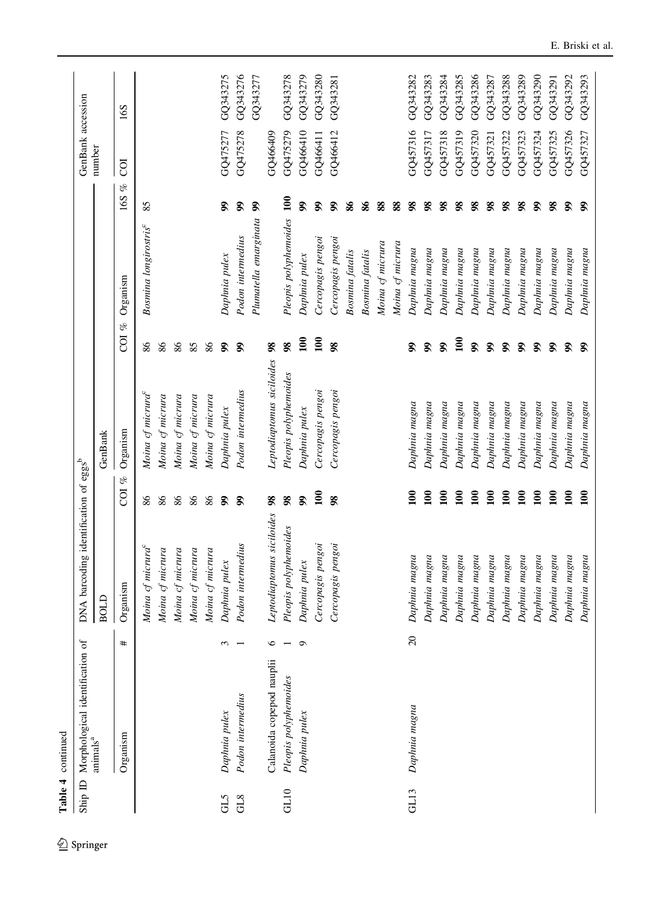|           | Table 4 continued               |            |                                                   |                            |                               |                            |                                   |                            |                   |          |
|-----------|---------------------------------|------------|---------------------------------------------------|----------------------------|-------------------------------|----------------------------|-----------------------------------|----------------------------|-------------------|----------|
| Ship $ID$ | Morphological identification of |            | DNA barcoding identification of eggs <sup>b</sup> |                            |                               |                            |                                   |                            | GenBank accession |          |
|           | $\text{animals}^\text{a}$       |            | <b>BOLD</b>                                       |                            | GenBank                       |                            |                                   |                            | number            |          |
|           | Organism                        | $\ddagger$ | Organism                                          | $\mathcal{C}$<br>g         | Organism                      | $\mathscr{C}$<br>g         | Organism                          | $\mathscr{C}$<br>16S       | ā                 | 16S      |
|           |                                 |            | Moina cf micrura <sup>c</sup>                     | 86                         | Moina cf micrura <sup>c</sup> | 86                         | Bosmina longirostris <sup>c</sup> | 85                         |                   |          |
|           |                                 |            | Moina cf micrura                                  | 86                         | Moina cf micrura              | 86                         |                                   |                            |                   |          |
|           |                                 |            | Moina cf micrura                                  | 86                         | Moina cf micrura              | 86                         |                                   |                            |                   |          |
|           |                                 |            | Moina cf micrura                                  | 86                         | Moina cf micrura              | $85$                       |                                   |                            |                   |          |
|           |                                 |            | Moina cf micrura                                  | 86                         | Moina of micrura              | 86                         |                                   |                            |                   |          |
| GL5       | Daphnia pulex                   | ω          | Daphnia pulex                                     | இ                          | Daphnia pulex                 | $\mathbf{g}$               | Daphnia pulex                     | S)                         | GQ475277          | GQ343275 |
| GL8       | Podon intermedius               |            | Podon intermedius                                 | $\mathbf{a}$               | Podon intermedius             | இ                          | Podon intermedius                 | $\mathbf{a}$               | GQ475278          | GQ343276 |
|           |                                 |            |                                                   |                            |                               |                            | Plumatella emarginata             | $\mathbf{g}$               |                   | GQ343277 |
|           | Calanoida copepod nauplii       | ৩          | Leptodiaptomus siciloides                         | 98                         | Leptodiaptomus siciloides     | $\boldsymbol{3}$           |                                   |                            | GQ466409          |          |
| GL10      | Pleopis polyphemoides           |            | Pleopis polyphemoides                             | $\boldsymbol{\mathcal{S}}$ | Pleopis polyphemoides         | $\boldsymbol{\mathcal{S}}$ | Pleopis polyphemoides 100         |                            | GQ475279          | GQ343278 |
|           | Daphnia pulex                   | $\circ$    | Daphnia pulex                                     | $\mathbf{g}$               | Daphnia pulex                 | 100                        | Daphnia pulex                     | $\mathbf{a}$               | GQ466410          | GQ343279 |
|           |                                 |            | Cercopagis pengoi                                 | $\mathbf{a}$               | Cercopagis pengoi             | $\mathbf{100}$             | Cercopagis pengoi                 | $\mathbf{S}$               | GQ466411          | GQ343280 |
|           |                                 |            | Cercopagis pengoi                                 | $\boldsymbol{8}$           | Cercopagis pengoi             | $\boldsymbol{98}$          | Cercopagis pengoi                 | g                          | GQ466412          | GQ343281 |
|           |                                 |            |                                                   |                            |                               |                            | Bosmina fatalis                   | 86                         |                   |          |
|           |                                 |            |                                                   |                            |                               |                            | <b>Bosmina</b> fatalis            | 86                         |                   |          |
|           |                                 |            |                                                   |                            |                               |                            | Moina cf micrura                  | $88$                       |                   |          |
|           |                                 |            |                                                   |                            |                               |                            | Moina cf micrura                  | $88$                       |                   |          |
| GL13      | Daphnia magna                   | 20         | Daphnia magna                                     | $\mathbf{S}$               | Daphnia magna                 | $\mathbf{S}$               | Daphnia magna                     | 98                         | GQ457316          | GQ343282 |
|           |                                 |            | Daphnia magna                                     | $\mathbf{10}$              | Daphnia magna                 | S,                         | Daphnia magna                     | $\boldsymbol{\mathcal{S}}$ | GQ457317          | GQ343283 |
|           |                                 |            | Daphnia magna                                     | $\mathbf{a}$               | Daphnia magna                 | $\mathbf{g}$               | Daphnia magna                     | $98$                       | GQ457318          | GQ343284 |
|           |                                 |            | Daphnia magna                                     | $\mathbf{a}$               | Daphnia magna                 | $\mathbf{100}$             | Daphnia magna                     | $98$                       | GQ457319          | GQ343285 |
|           |                                 |            | Daphnia magna                                     | $\mathbf{10}$              | Daphnia magna                 | $\boldsymbol{\mathsf{S}}$  | Daphnia magna                     | $\boldsymbol{98}$          | GQ457320          | GQ343286 |
|           |                                 |            | Daphnia magna                                     | $\mathbf{g}$               | Daphnia magna                 | <b>వి</b>                  | Daphnia magna                     | $\boldsymbol{98}$          | GQ457321          | GQ343287 |
|           |                                 |            | Daphnia magna                                     | $\mathbf{10}$              | Daphnia magna                 |                            | Daphnia magna                     | $\boldsymbol{\mathcal{S}}$ | GQ457322          | GQ343288 |
|           |                                 |            | Daphnia magna                                     | $\mathbf{a}$               | Daphnia magna                 | <b>9 కి</b>                | Daphnia magna                     | $98$                       | GQ457323          | GQ343289 |
|           |                                 |            | Daphnia magna                                     | $\epsilon$                 | Daphnia magna                 |                            | Daphnia magna                     | $\mathbf{S}$               | GQ457324          | GQ343290 |
|           |                                 |            | Daphnia magna                                     | $\mathbf{0}$               | Daphnia magna                 | $\mathbf{a}$               | Daphnia magna                     | $\boldsymbol{8}$           | GQ457325          | GQ343291 |
|           |                                 |            | Daphnia magna                                     | $\mathbf{S}$               | Daphnia magna                 | $\boldsymbol{\mathsf{S}}$  | Daphnia magna                     | $\mathbf{\hat{z}}$         | GQ457326          | GQ343292 |
|           |                                 |            | Daphnia magna                                     | $\mathbf{a}$               | Daphnia magna                 | இ                          | Daphnia magna                     | $\mathbf{a}$               | GQ457327          | GQ343293 |

 $\underline{\textcircled{\tiny 2}}$  Springer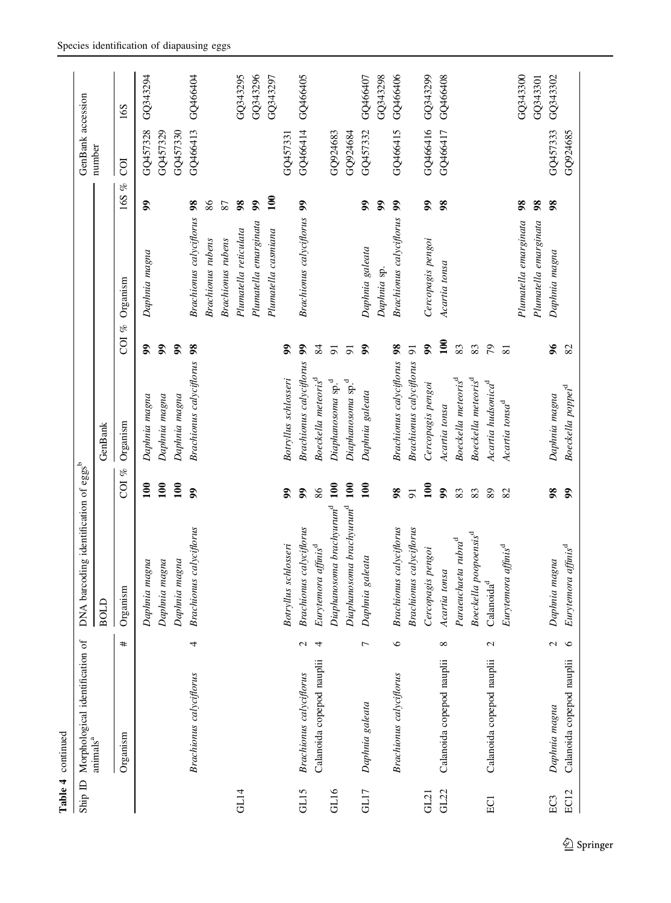|                  | Table 4 continued               |                |                                                   |                            |                                 |                 |                            |                            |                   |          |
|------------------|---------------------------------|----------------|---------------------------------------------------|----------------------------|---------------------------------|-----------------|----------------------------|----------------------------|-------------------|----------|
| Ship $ID$        | Morphological identification of |                | DNA barcoding identification of eggs <sup>b</sup> |                            |                                 |                 |                            |                            | GenBank accession |          |
|                  | $\text{animals}^{\text{a}}$     |                | <b>BOLD</b>                                       |                            | GenBank                         |                 |                            |                            | number            |          |
|                  | Organism                        | #              | $\rm{Organism}$<br>$\mathbf{I}$                   | $\mathscr{C}$<br><b>CO</b> | Organism                        | COI %           | Organism                   | $\mathscr{C}$<br>16S       | <b>SO</b>         | 16S      |
|                  |                                 |                | Daphnia magna                                     | $\overline{100}$           | Daphnia magna                   | $\mathbf{a}$    | Daphnia magna              | S)                         | GQ457328          | GQ343294 |
|                  |                                 |                | Daphnia magna                                     | 100                        | Daphnia magna                   | $\mathbf{g}$    |                            |                            | GQ457329          |          |
|                  |                                 |                | Daphnia magna                                     | 100                        | Daphnia magna                   | $\mathbf{g}$    |                            |                            | GQ457330          |          |
|                  | <b>Brachionus</b> calyciflorus  | 4              | Brachionus calyciflorus                           | $\mathbf{g}$               | <b>Brachionus</b> calyciflorus  | 98              | Brachionus calyciflorus    | $\boldsymbol{8}$           | GQ466413          | GQ466404 |
|                  |                                 |                |                                                   |                            |                                 |                 | <b>Brachionus</b> rubens   | 86                         |                   |          |
|                  |                                 |                |                                                   |                            |                                 |                 | <b>Brachionus</b> rubens   | 87                         |                   |          |
| GL14             |                                 |                |                                                   |                            |                                 |                 | Plumatella reticulata      | $98$                       |                   | GQ343295 |
|                  |                                 |                |                                                   |                            |                                 |                 | Plumatella emarginata      | $\mathbf{g}$               |                   | GQ343296 |
|                  |                                 |                |                                                   |                            |                                 |                 | Plumatella casmiana        | $\frac{8}{100}$            |                   | GQ343297 |
|                  |                                 |                | Botryllus schlosseri                              | S)                         | Botryllus schlosseri            | g)              |                            |                            | GQ457331          |          |
| GL15             | <b>Brachionus</b> calyciflorus  | 2              | <b>Brachionus</b> calyciflorus                    | $\mathbf{g}$               | <b>Brachionus</b> calyciflorus  | இ               | Brachionus calyciflorus 99 |                            | GQ466414          | GQ466405 |
|                  | Calanoida copepod nauplii       | 4              | Eurytemora affinis <sup>d</sup>                   | 86                         | Boeckella meteoris <sup>d</sup> | 84              |                            |                            |                   |          |
| GL16             |                                 |                | Diaphanosoma brachyurum <sup>d</sup>              | $\overline{100}$           | Diaphanosoma sp. <sup>d</sup>   | $\overline{5}$  |                            |                            | GQ924683          |          |
|                  |                                 |                | Diaphanosoma brachyurum <sup>d</sup>              | $\overline{100}$           | Diaphanosoma sp. <sup>d</sup>   | $\overline{5}$  |                            |                            | GQ924684          |          |
| GL17             | Daphnia galeata                 | $\overline{ }$ | Daphnia galeata                                   | $\overline{100}$           | Daphnia galeata                 | $\mathbf{g}$    | Daphnia galeata            | S)                         | GQ457332          | GQ466407 |
|                  |                                 |                |                                                   |                            |                                 |                 | Daphnia sp.                | $\mathbf{g}$               |                   | GQ343298 |
|                  | <b>Brachionus</b> calyciflorus  | $\circ$        | rachionus calyciflorus<br>m                       | $\boldsymbol{8}$           | Brachionus calyciflorus 98      |                 | Brachionus calyciflorus 99 |                            | GQ466415          | GQ466406 |
|                  |                                 |                | Brachionus calyciflorus                           | $\overline{5}$             | <b>Brachionus</b> calyciflorus  | $\overline{5}$  |                            |                            |                   |          |
| GL21             |                                 |                | Cercopagis pengoi                                 | 100                        | Cercopagis pengoi               | $\mathbf{a}$    | Cercopagis pengoi          | $\mathbf{g}$               | GQ466416          | GQ343299 |
| GL22             | Calanoida copepod nauplii       | ∞              | Acartia tonsa                                     | $\mathbf{a}$               | Acartia tonsa                   | $\frac{8}{100}$ | Acartia tonsa              | $\boldsymbol{98}$          | GQ466417          | GQ466408 |
|                  |                                 |                | Paraeuchaeta rubra <sup>d</sup>                   | 83                         | Boeckella meteoris <sup>d</sup> | 83              |                            |                            |                   |          |
|                  |                                 |                | Boeckella poopoensis <sup>d</sup>                 | 83                         | Boeckella meteoris <sup>d</sup> | 83              |                            |                            |                   |          |
| ECI              | Calanoida copepod nauplii       | $\mathbf{c}$   | Calanoida <sup>d</sup>                            | 89                         | Acartia hudsonica <sup>d</sup>  | $\mathcal{L}$   |                            |                            |                   |          |
|                  |                                 |                | Eurytemora affinis <sup>d</sup>                   | 82                         | Acartia tonsa <sup>d</sup>      | $\overline{81}$ |                            |                            |                   |          |
|                  |                                 |                |                                                   |                            |                                 |                 | Plumatella emarginata      | $\boldsymbol{\mathcal{S}}$ |                   | GQ343300 |
|                  |                                 |                |                                                   |                            |                                 |                 | Plumatella emarginata      | $98$                       |                   | GQ343301 |
| EC3              | Daphnia magna                   | $\mathcal{L}$  | Daphnia magna                                     | $\boldsymbol{8}$           | Daphnia magna                   | $\frac{96}{2}$  | Daphnia magna              | $\boldsymbol{98}$          | GQ457333          | GQ343302 |
| EC <sub>12</sub> | Calanoida copepod nauplii       | $\circ$        | Eurytemora affinis <sup>d</sup>                   | $\mathbf{g}$               | Boeckella poppei <sup>d</sup>   | 82              |                            |                            | GQ924685          |          |
|                  |                                 |                |                                                   |                            |                                 |                 |                            |                            |                   |          |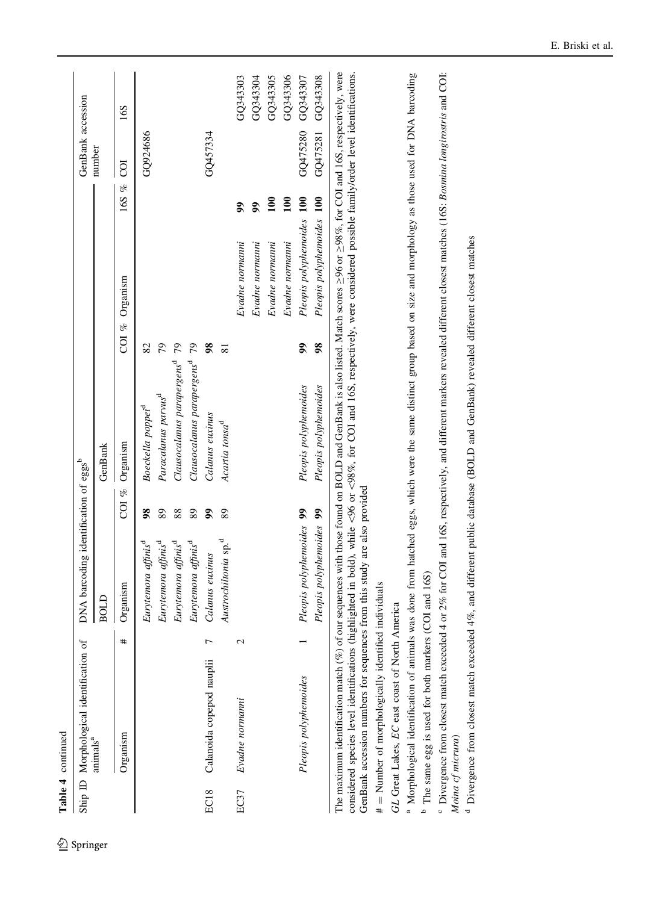|      | Table 4 continued                              |   |                                                  |    |                                                                                                                                          |                 |                           |                |                   |          |
|------|------------------------------------------------|---|--------------------------------------------------|----|------------------------------------------------------------------------------------------------------------------------------------------|-----------------|---------------------------|----------------|-------------------|----------|
|      | Ship ID Morphological identification of        |   | NA barcoding identification of eggs <sup>b</sup> |    |                                                                                                                                          |                 |                           |                | GenBank accession |          |
|      | animals <sup>a</sup>                           |   | BOLD                                             |    | GenBank                                                                                                                                  |                 |                           |                | number            |          |
|      | Organism                                       | # | organism                                         |    | COI % Organism                                                                                                                           |                 | COI % Organism            | 16S % COI      |                   | 16S      |
|      |                                                |   | zurytemora affinis <sup>a</sup>                  | S, | Boeckella poppei <sup>d</sup>                                                                                                            | 82              |                           |                | GQ924686          |          |
|      |                                                |   | žurytemora affinis <sup>d</sup>                  | 89 | Paracalanus parvus <sup>a</sup>                                                                                                          | 79              |                           |                |                   |          |
|      |                                                |   | žurytemora affinis <sup>d</sup>                  | 88 | Clausocalanus parapergens <sup>a</sup> 79                                                                                                |                 |                           |                |                   |          |
|      |                                                |   | žurytemora affinis <sup>d</sup>                  | 89 | Clausocalanus parapergens <sup>a</sup> 79                                                                                                |                 |                           |                |                   |          |
| EC18 | Calanoida copepod nauplii                      |   | Calanus euxinus                                  | S) | Calanus euxinus                                                                                                                          | $\frac{8}{2}$   |                           |                | GQ457334          |          |
|      |                                                |   | lustrochiltonia sp. <sup>d</sup>                 | 89 | Acartia tonsa <sup>a</sup>                                                                                                               | $\overline{81}$ |                           |                |                   |          |
| EC37 | Evadne normanni                                |   |                                                  |    |                                                                                                                                          |                 | Evadne normanni           | \$             |                   | GQ343303 |
|      |                                                |   |                                                  |    |                                                                                                                                          |                 | Evadne normanni           | g              |                   | GQ343304 |
|      |                                                |   |                                                  |    |                                                                                                                                          |                 | Evadne normanni           | ឱ              |                   | GQ343305 |
|      |                                                |   |                                                  |    |                                                                                                                                          |                 | Evadne normanni           | $\frac{8}{10}$ |                   | GQ343306 |
|      | Pleopis polyphemoides                          |   | Pleopis polyphemoides 99                         |    | Pleopis polyphemoides                                                                                                                    | $\mathbf{e}$    | Pleopis polyphemoides 100 |                | GQ475280 GQ343307 |          |
|      |                                                |   | Pleopis polyphemoides 99                         |    | Pleopis polyphemoides                                                                                                                    | $\frac{8}{3}$   | Pleopis polyphemoides 100 |                | GQ475281          | GQ343308 |
|      | The maximum identification match $(\%)$ of our |   |                                                  |    | sequences with those found on BOLD and GenBank is also listed. Match scores $\geq$ 96 or $\geq$ 98%, for COI and 16S, respectively, were |                 |                           |                |                   |          |

considered species level identifications (highlighted in bold), while <96 or <98%, for COI and 16S, respectively, were considered possible family/order level identifications. considered species level identifications (highlighted in bold), while <96 or <98%, for COI and 16S, respectively, were considered possible family/order level identifications. GenBank accession numbers for sequences from this study are also provided GenBank accession numbers for sequences from this study are also provided

 $#$  = Number of morphologically identified individuals  $#$  = Number of morphologically identified individuals

GL Great Lakes, EC east coast of North America GL Great Lakes, EC east coast of North America

<sup>a</sup> Morphological identification of animals was done from hatched eggs, which were the same distinct group based on size and morphology as those used for DNA barcoding Morphological identification of animals was done from hatched eggs, which were the same distinct group based on size and morphology as those used for DNA barcoding <sup>b</sup> The same egg is used for both markers (COI and 16S) The same egg is used for both markers (COI and 16S)

<sup>c</sup> Divergence from closest match exceeded 4 or 2% for COI and 16S, respectively, and different markers revealed different closest matches (16S: Bosmina longirostris and COI: <sup>6</sup> Divergence from closest match exceeded 4 or 2% for COI and 16S, respectively, and different markers revealed different closest matches (16S: Bosmina longirostris and COI: Moina cf micrura) Moina cf micrura)

<sup>d</sup> Divergence from closest match exceeded 4%, and different public database (BOLD and GenBank) revealed different closest matches Divergence from closest match exceeded 4%, and different public database (BOLD and GenBank) revealed different closest matches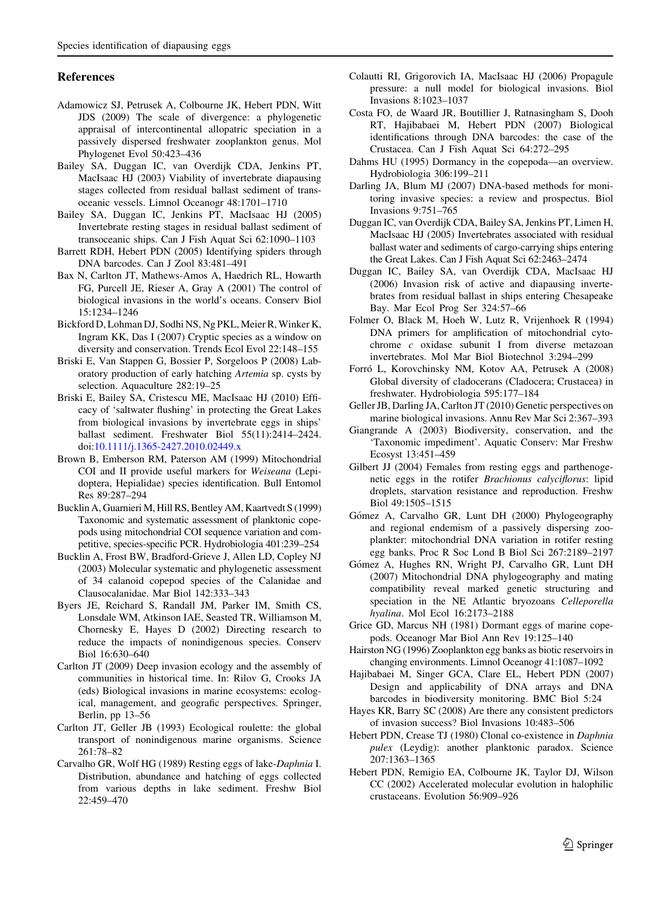#### <span id="page-14-0"></span>References

- Adamowicz SJ, Petrusek A, Colbourne JK, Hebert PDN, Witt JDS (2009) The scale of divergence: a phylogenetic appraisal of intercontinental allopatric speciation in a passively dispersed freshwater zooplankton genus. Mol Phylogenet Evol 50:423–436
- Bailey SA, Duggan IC, van Overdijk CDA, Jenkins PT, MacIsaac HJ (2003) Viability of invertebrate diapausing stages collected from residual ballast sediment of transoceanic vessels. Limnol Oceanogr 48:1701–1710
- Bailey SA, Duggan IC, Jenkins PT, MacIsaac HJ (2005) Invertebrate resting stages in residual ballast sediment of transoceanic ships. Can J Fish Aquat Sci 62:1090–1103
- Barrett RDH, Hebert PDN (2005) Identifying spiders through DNA barcodes. Can J Zool 83:481–491
- Bax N, Carlton JT, Mathews-Amos A, Haedrich RL, Howarth FG, Purcell JE, Rieser A, Gray A (2001) The control of biological invasions in the world's oceans. Conserv Biol 15:1234–1246
- Bickford D, Lohman DJ, Sodhi NS, Ng PKL, Meier R, Winker K, Ingram KK, Das I (2007) Cryptic species as a window on diversity and conservation. Trends Ecol Evol 22:148–155
- Briski E, Van Stappen G, Bossier P, Sorgeloos P (2008) Laboratory production of early hatching Artemia sp. cysts by selection. Aquaculture 282:19–25
- Briski E, Bailey SA, Cristescu ME, MacIsaac HJ (2010) Efficacy of 'saltwater flushing' in protecting the Great Lakes from biological invasions by invertebrate eggs in ships' ballast sediment. Freshwater Biol 55(11):2414–2424. doi[:10.1111/j.1365-2427.2010.02449.x](http://dx.doi.org/10.1111/j.1365-2427.2010.02449.x)
- Brown B, Emberson RM, Paterson AM (1999) Mitochondrial COI and II provide useful markers for Weiseana (Lepidoptera, Hepialidae) species identification. Bull Entomol Res 89:287–294
- Bucklin A, Guarnieri M, Hill RS, Bentley AM, Kaartvedt S (1999) Taxonomic and systematic assessment of planktonic copepods using mitochondrial COI sequence variation and competitive, species-specific PCR. Hydrobiologia 401:239–254
- Bucklin A, Frost BW, Bradford-Grieve J, Allen LD, Copley NJ (2003) Molecular systematic and phylogenetic assessment of 34 calanoid copepod species of the Calanidae and Clausocalanidae. Mar Biol 142:333–343
- Byers JE, Reichard S, Randall JM, Parker IM, Smith CS, Lonsdale WM, Atkinson IAE, Seasted TR, Williamson M, Chornesky E, Hayes D (2002) Directing research to reduce the impacts of nonindigenous species. Conserv Biol 16:630–640
- Carlton JT (2009) Deep invasion ecology and the assembly of communities in historical time. In: Rilov G, Crooks JA (eds) Biological invasions in marine ecosystems: ecological, management, and geografic perspectives. Springer, Berlin, pp 13–56
- Carlton JT, Geller JB (1993) Ecological roulette: the global transport of nonindigenous marine organisms. Science 261:78–82
- Carvalho GR, Wolf HG (1989) Resting eggs of lake-Daphnia I. Distribution, abundance and hatching of eggs collected from various depths in lake sediment. Freshw Biol 22:459–470
- Colautti RI, Grigorovich IA, MacIsaac HJ (2006) Propagule pressure: a null model for biological invasions. Biol Invasions 8:1023–1037
- Costa FO, de Waard JR, Boutillier J, Ratnasingham S, Dooh RT, Hajibabaei M, Hebert PDN (2007) Biological identifications through DNA barcodes: the case of the Crustacea. Can J Fish Aquat Sci 64:272–295
- Dahms HU (1995) Dormancy in the copepoda––an overview. Hydrobiologia 306:199–211
- Darling JA, Blum MJ (2007) DNA-based methods for monitoring invasive species: a review and prospectus. Biol Invasions 9:751–765
- Duggan IC, van Overdijk CDA, Bailey SA, Jenkins PT, Limen H, MacIsaac HJ (2005) Invertebrates associated with residual ballast water and sediments of cargo-carrying ships entering the Great Lakes. Can J Fish Aquat Sci 62:2463–2474
- Duggan IC, Bailey SA, van Overdijk CDA, MacIsaac HJ (2006) Invasion risk of active and diapausing invertebrates from residual ballast in ships entering Chesapeake Bay. Mar Ecol Prog Ser 324:57–66
- Folmer O, Black M, Hoeh W, Lutz R, Vrijenhoek R (1994) DNA primers for amplification of mitochondrial cytochrome c oxidase subunit I from diverse metazoan invertebrates. Mol Mar Biol Biotechnol 3:294–299
- Forró L, Korovchinsky NM, Kotov AA, Petrusek A (2008) Global diversity of cladocerans (Cladocera; Crustacea) in freshwater. Hydrobiologia 595:177–184
- Geller JB, Darling JA, Carlton JT (2010) Genetic perspectives on marine biological invasions. Annu Rev Mar Sci 2:367–393
- Giangrande A (2003) Biodiversity, conservation, and the 'Taxonomic impediment'. Aquatic Conserv: Mar Freshw Ecosyst 13:451–459
- Gilbert JJ (2004) Females from resting eggs and parthenogenetic eggs in the rotifer Brachionus calyciflorus: lipid droplets, starvation resistance and reproduction. Freshw Biol 49:1505–1515
- Gómez A, Carvalho GR, Lunt DH (2000) Phylogeography and regional endemism of a passively dispersing zooplankter: mitochondrial DNA variation in rotifer resting egg banks. Proc R Soc Lond B Biol Sci 267:2189–2197
- Gómez A, Hughes RN, Wright PJ, Carvalho GR, Lunt DH (2007) Mitochondrial DNA phylogeography and mating compatibility reveal marked genetic structuring and speciation in the NE Atlantic bryozoans Celleporella hyalina. Mol Ecol 16:2173–2188
- Grice GD, Marcus NH (1981) Dormant eggs of marine copepods. Oceanogr Mar Biol Ann Rev 19:125–140
- Hairston NG (1996) Zooplankton egg banks as biotic reservoirs in changing environments. Limnol Oceanogr 41:1087–1092
- Hajibabaei M, Singer GCA, Clare EL, Hebert PDN (2007) Design and applicability of DNA arrays and DNA barcodes in biodiversity monitoring. BMC Biol 5:24
- Hayes KR, Barry SC (2008) Are there any consistent predictors of invasion success? Biol Invasions 10:483–506
- Hebert PDN, Crease TJ (1980) Clonal co-existence in Daphnia pulex (Leydig): another planktonic paradox. Science 207:1363–1365
- Hebert PDN, Remigio EA, Colbourne JK, Taylor DJ, Wilson CC (2002) Accelerated molecular evolution in halophilic crustaceans. Evolution 56:909–926